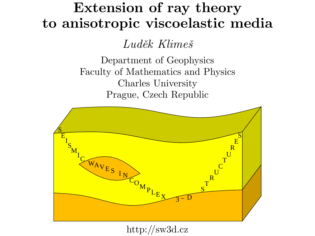# Extension of ray theory to anisotropic viscoelastic media

Luděk Klimeš

Department of Geophysics Faculty of Mathematics and Physics Charles University Prague, Czech Republic



http://sw3d.cz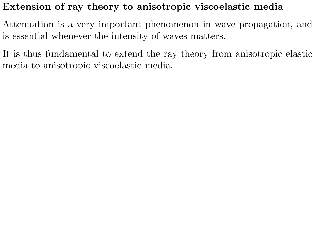## Extension of ray theory to anisotropic viscoelastic media

Attenuation is a very important phenomenon in wave propagation, and is essential whenever the intensity of waves matters.

It is thus fundamental to extend the ray theory from anisotropic elastic media to anisotropic viscoelastic media.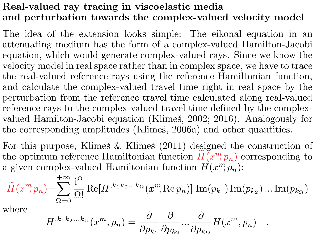# Real-valued ray tracing in viscoelastic media and perturbation towards the complex-valued velocity model

The idea of the extension looks simple: The eikonal equation in an attenuating medium has the form of a complex-valued Hamilton-Jacobi equation, which would generate complex-valued rays. Since we know the velocity model in real space rather than in complex space, we have to trace the real-valued reference rays using the reference Hamiltonian function, and calculate the complex-valued travel time right in real space by the perturbation from the reference travel time calculated along real-valued reference rays to the complex-valued travel time defined by the complexvalued Hamilton-Jacobi equation (Klimeš, 2002; 2016). Analogously for the corresponding amplitudes (Klimeš, 2006a) and other quantities.

For this purpose, Klimeš  $&$  Klimes (2011) designed the construction of the optimum reference Hamiltonian function  $\widetilde{H}(x^m, p_n)$  corresponding to a given complex-valued Hamiltonian function  $H(x^m, p_n)$ :

$$
\widetilde{H}(x^m, p_n) = \sum_{\Omega=0}^{+\infty} \frac{\mathrm{i}^{\Omega}}{\Omega!} \operatorname{Re}[H^{,k_1k_2...k_{\Omega}}(x^m, \operatorname{Re} p_n)] \operatorname{Im}(p_{k_1}) \operatorname{Im}(p_{k_2}) \dots \operatorname{Im}(p_{k_{\Omega}})
$$

where

$$
H^{,k_1k_2...k_{\Omega}}(x^m, p_n) = \frac{\partial}{\partial p_{k_1}} \frac{\partial}{\partial p_{k_2}} ... \frac{\partial}{\partial p_{k_{\Omega}}} H(x^m, p_n) .
$$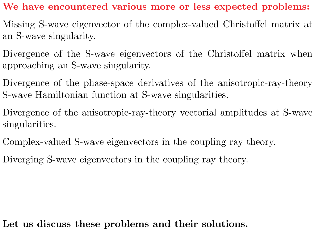## We have encountered various more or less expected problems:

- Missing S-wave eigenvector of the complex-valued Christoffel matrix at an S-wave singularity.
- Divergence of the S-wave eigenvectors of the Christoffel matrix when approaching an S-wave singularity.
- Divergence of the phase-space derivatives of the anisotropic-ray-theory S-wave Hamiltonian function at S-wave singularities.
- Divergence of the anisotropic-ray-theory vectorial amplitudes at S-wave singularities.
- Complex-valued S-wave eigenvectors in the coupling ray theory.
- Diverging S-wave eigenvectors in the coupling ray theory.

# Let us discuss these problems and their solutions.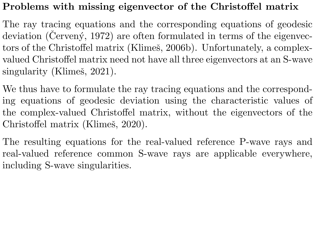## Problems with missing eigenvector of the Christoffel matrix

The ray tracing equations and the corresponding equations of geodesic deviation (Cerveny, 1972) are often formulated in terms of the eigenvectors of the Christoffel matrix (Klimeš, 2006b). Unfortunately, a complexvalued Christoffel matrix need not have all three eigenvectors at an S-wave singularity (Klimeš, 2021).

We thus have to formulate the ray tracing equations and the corresponding equations of geodesic deviation using the characteristic values of the complex-valued Christoffel matrix, without the eigenvectors of the Christoffel matrix (Klimeš, 2020).

The resulting equations for the real-valued reference P-wave rays and real-valued reference common S-wave rays are applicable everywhere, including S-wave singularities.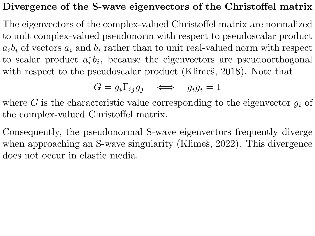#### Divergence of the S-wave eigenvectors of the Christoffel matrix

The eigenvectors of the complex-valued Christoffel matrix are normalized to unit complex-valued pseudonorm with respect to pseudoscalar product  $a_i b_i$  of vectors  $a_i$  and  $b_i$  rather than to unit real-valued norm with respect to scalar product  $a_i^*$  $i<sub>i</sub> b<sub>i</sub>$ , because the eigenvectors are pseudoorthogonal with respect to the pseudoscalar product (Klimeš, 2018). Note that

$$
G = g_i \Gamma_{ij} g_j \quad \iff \quad g_i g_i = 1
$$

where G is the characteristic value corresponding to the eigenvector  $q_i$  of the complex-valued Christoffel matrix.

Consequently, the pseudonormal S-wave eigenvectors frequently diverge when approaching an S-wave singularity (Klimeš, 2022). This divergence does not occur in elastic media.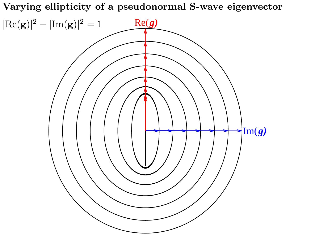Varying ellipticity of a pseudonormal S-wave eigenvector

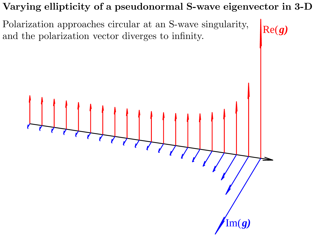# Varying ellipticity of a pseudonormal S-wave eigenvector in 3-D

Polarization approaches circular at an S-wave singularity, Polarization approaches circular at an S-wave singularity,  $Re(g)$ <br>and the polarization vector diverges to infinity.



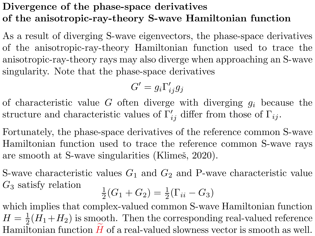# Divergence of the phase-space derivatives of the anisotropic-ray-theory S-wave Hamiltonian function

As a result of diverging S-wave eigenvectors, the phase-space derivatives of the anisotropic-ray-theory Hamiltonian function used to trace the anisotropic-ray-theory rays may also diverge when approaching an S-wave singularity. Note that the phase-space derivatives

$$
G'=g_i\Gamma'_{ij}g_j
$$

of characteristic value G often diverge with diverging  $g_i$  because the structure and characteristic values of  $\Gamma'_{ij}$  differ from those of  $\Gamma_{ij}$ .

Fortunately, the phase-space derivatives of the reference common S-wave Hamiltonian function used to trace the reference common S-wave rays are smooth at S-wave singularities (Klimeš, 2020).

S-wave characteristic values  $G_1$  and  $G_2$  and P-wave characteristic value  $G_3$  satisfy relation

$$
\frac{1}{2}(G_1 + G_2) = \frac{1}{2}(\Gamma_{ii} - G_3)
$$

which implies that complex-valued common S-wave Hamiltonian function  $H=\frac{1}{2}$  $\frac{1}{2}(H_1+H_2)$  is smooth. Then the corresponding real-valued reference Hamiltonian function  $H$  of a real-valued slowness vector is smooth as well.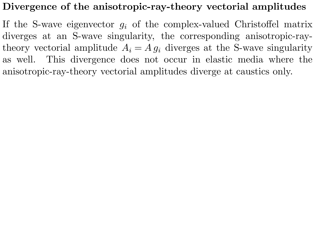## Divergence of the anisotropic-ray-theory vectorial amplitudes

If the S-wave eigenvector  $g_i$  of the complex-valued Christoffel matrix diverges at an S-wave singularity, the corresponding anisotropic-raytheory vectorial amplitude  $A_i = A g_i$  diverges at the S-wave singularity as well. This divergence does not occur in elastic media where the anisotropic-ray-theory vectorial amplitudes diverge at caustics only.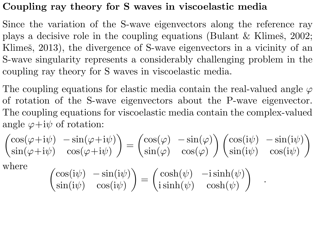## Coupling ray theory for S waves in viscoelastic media

Since the variation of the S-wave eigenvectors along the reference ray plays a decisive role in the coupling equations (Bulant  $&$  Klimes, 2002; Klimeš, 2013), the divergence of S-wave eigenvectors in a vicinity of an S-wave singularity represents a considerably challenging problem in the coupling ray theory for S waves in viscoelastic media.

The coupling equations for elastic media contain the real-valued angle  $\varphi$ of rotation of the S-wave eigenvectors about the P-wave eigenvector. The coupling equations for viscoelastic media contain the complex-valued angle  $\varphi + i\psi$  of rotation:

$$
\begin{pmatrix} \cos(\varphi + i\psi) & -\sin(\varphi + i\psi) \\ \sin(\varphi + i\psi) & \cos(\varphi + i\psi) \end{pmatrix} = \begin{pmatrix} \cos(\varphi) & -\sin(\varphi) \\ \sin(\varphi) & \cos(\varphi) \end{pmatrix} \begin{pmatrix} \cos(i\psi) & -\sin(i\psi) \\ \sin(i\psi) & \cos(i\psi) \end{pmatrix}
$$

where

$$
\begin{pmatrix}\n\cos(i\psi) & -\sin(i\psi) \\
\sin(i\psi) & \cos(i\psi)\n\end{pmatrix} = \begin{pmatrix}\n\cosh(\psi) & -i\sinh(\psi) \\
i\sinh(\psi) & \cosh(\psi)\n\end{pmatrix}
$$

.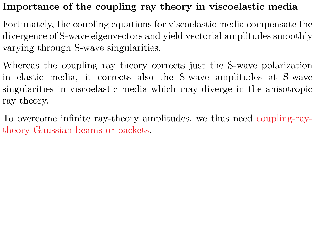# Importance of the coupling ray theory in viscoelastic media

Fortunately, the coupling equations for viscoelastic media compensate the divergence of S-wave eigenvectors and yield vectorial amplitudes smoothly varying through S-wave singularities.

Whereas the coupling ray theory corrects just the S-wave polarization in elastic media, it corrects also the S-wave amplitudes at S-wave singularities in viscoelastic media which may diverge in the anisotropic ray theory.

To overcome infinite ray-theory amplitudes, we thus need coupling-raytheory Gaussian beams or packets.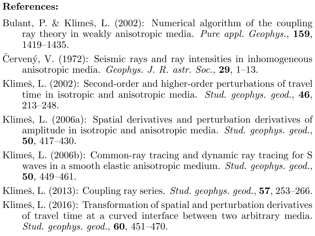## References:

- Bulant, P. & Klimeš, L.  $(2002)$ : Numerical algorithm of the coupling ray theory in weakly anisotropic media. Pure appl. Geophys., 159, 1419–1435.
- Cervený, V.  $(1972)$ : Seismic rays and ray intensities in inhomogeneous anisotropic media. Geophys. J. R. astr. Soc., 29, 1–13.
- Klimeš, L. (2002): Second-order and higher-order perturbations of travel time in isotropic and anisotropic media. Stud. geophys. geod., 46, 213–248.
- Klimeš, L. (2006a): Spatial derivatives and perturbation derivatives of amplitude in isotropic and anisotropic media. Stud. geophys. geod., 50, 417–430.
- Klimeš, L. (2006b): Common-ray tracing and dynamic ray tracing for S waves in a smooth elastic anisotropic medium. Stud. geophys. geod., 50, 449–461.
- Klimeš, L.  $(2013)$ : Coupling ray series. *Stud. geophys. geod.*, **57**, 253–266.
- Klimeš, L.  $(2016)$ : Transformation of spatial and perturbation derivatives of travel time at a curved interface between two arbitrary media. Stud. geophys. geod., 60, 451–470.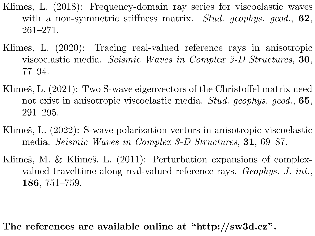- Klimeš, L. (2018): Frequency-domain ray series for viscoelastic waves with a non-symmetric stiffness matrix. Stud. geophys. geod., 62, 261–271.
- Klimeš, L. (2020): Tracing real-valued reference rays in anisotropic viscoelastic media. Seismic Waves in Complex 3-D Structures, 30, 77–94.
- Klimeš, L. (2021): Two S-wave eigenvectors of the Christoffel matrix need not exist in anisotropic viscoelastic media. Stud. geophys. geod., 65, 291–295.
- Klimeš, L. (2022): S-wave polarization vectors in anisotropic viscoelastic media. Seismic Waves in Complex 3-D Structures, 31, 69–87.
- Klimeš, M. & Klimeš, L.  $(2011)$ : Perturbation expansions of complexvalued traveltime along real-valued reference rays. Geophys. J. int., 186, 751–759.

The references are available online at "http://sw3d.cz".